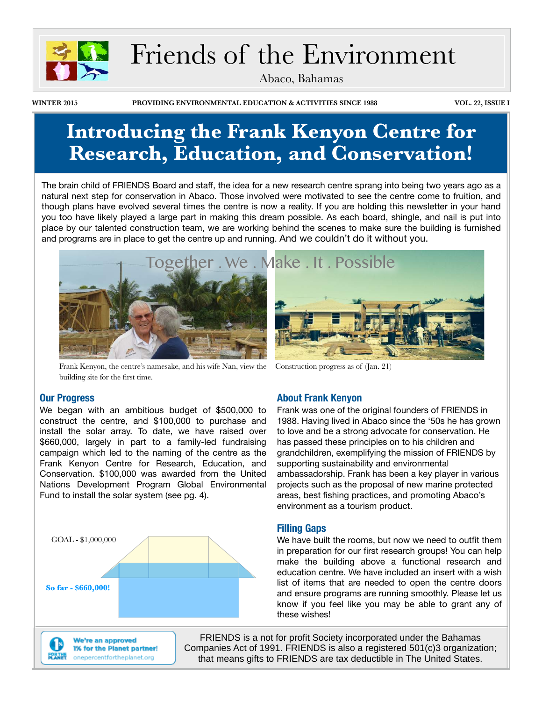

# Friends of the Environment

Abaco, Bahamas

**WINTER 2015 PROVIDING ENVIRONMENTAL EDUCATION & ACTIVITIES SINCE 1988 VOL. 22, ISSUE I**

# **Introducing the Frank Kenyon Centre for Research, Education, and Conservation!**

The brain child of FRIENDS Board and staff, the idea for a new research centre sprang into being two years ago as a natural next step for conservation in Abaco. Those involved were motivated to see the centre come to fruition, and though plans have evolved several times the centre is now a reality. If you are holding this newsletter in your hand you too have likely played a large part in making this dream possible. As each board, shingle, and nail is put into place by our talented construction team, we are working behind the scenes to make sure the building is furnished and programs are in place to get the centre up and running. And we couldn't do it without you.



Frank Kenyon, the centre's namesake, and his wife Nan, view the building site for the first time.



Construction progress as of (Jan. 21)

#### **Our Progress**

We began with an ambitious budget of \$500,000 to construct the centre, and \$100,000 to purchase and install the solar array. To date, we have raised over \$660,000, largely in part to a family-led fundraising campaign which led to the naming of the centre as the Frank Kenyon Centre for Research, Education, and Conservation. \$100,000 was awarded from the United Nations Development Program Global Environmental Fund to install the solar system (see pg. 4).





We're an approved 1% for the Planet partner! onepercentfortheplanet.org

**About Frank Kenyon**

Frank was one of the original founders of FRIENDS in 1988. Having lived in Abaco since the '50s he has grown to love and be a strong advocate for conservation. He has passed these principles on to his children and grandchildren, exemplifying the mission of FRIENDS by supporting sustainability and environmental ambassadorship. Frank has been a key player in various projects such as the proposal of new marine protected areas, best fishing practices, and promoting Abaco's environment as a tourism product.

#### **Filling Gaps**

We have built the rooms, but now we need to outfit them in preparation for our first research groups! You can help make the building above a functional research and education centre. We have included an insert with a wish list of items that are needed to open the centre doors and ensure programs are running smoothly. Please let us know if you feel like you may be able to grant any of these wishes!

FRIENDS is a not for profit Society incorporated under the Bahamas Companies Act of 1991. FRIENDS is also a registered 501(c)3 organization; that means gifts to FRIENDS are tax deductible in The United States.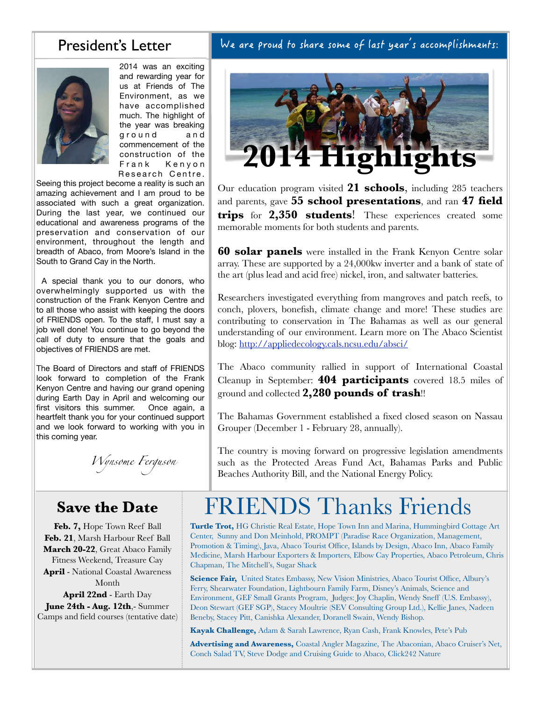#### President's Letter

2014 was an exciting and rewarding year for us at Friends of The Environment, as we have accomplished much. The highlight of the year was breaking ground and commencement of the construction of the Frank Kenyon Research Centre.

Seeing this project become a reality is such an amazing achievement and I am proud to be associated with such a great organization. During the last year, we continued our educational and awareness programs of the preservation and conservation of our environment, throughout the length and breadth of Abaco, from Moore's Island in the South to Grand Cay in the North.

 A special thank you to our donors, who overwhelmingly supported us with the construction of the Frank Kenyon Centre and to all those who assist with keeping the doors of FRIENDS open. To the staff, I must say a job well done! You continue to go beyond the call of duty to ensure that the goals and objectives of FRIENDS are met.

The Board of Directors and staff of FRIENDS look forward to completion of the Frank Kenyon Centre and having our grand opening during Earth Day in April and welcoming our first visitors this summer. Once again, a heartfelt thank you for your continued support and we look forward to working with you in this coming year.

*Wynsome Ferguson*

### **Save the Date**

**Feb. 7,** Hope Town Reef Ball **Feb. 21**, Marsh Harbour Reef Ball **March 20-22**, Great Abaco Family Fitness Weekend, Treasure Cay **April** - National Coastal Awareness Month **April 22nd** - Earth Day **June 24th - Aug. 12th**,- Summer Camps and field courses (tentative date) **2014 Highlights**

Our education program visited **21 schools**, including 285 teachers and parents, gave **55 school presentations**, and ran **47 field trips** for **2,350 students**! These experiences created some memorable moments for both students and parents.

**60 solar panels** were installed in the Frank Kenyon Centre solar array. These are supported by a 24,000kw inverter and a bank of state of the art (plus lead and acid free) nickel, iron, and saltwater batteries.

Researchers investigated everything from mangroves and patch reefs, to conch, plovers, bonefish, climate change and more! These studies are contributing to conservation in The Bahamas as well as our general understanding of our environment. Learn more on The Abaco Scientist blog:<http://appliedecology.cals.ncsu.edu/absci/>

The Abaco community rallied in support of International Coastal Cleanup in September: **404 participants** covered 18.5 miles of ground and collected **2,280 pounds of trash**!!

The Bahamas Government established a fixed closed season on Nassau Grouper (December 1 - February 28, annually).

The country is moving forward on progressive legislation amendments such as the Protected Areas Fund Act, Bahamas Parks and Public Beaches Authority Bill, and the National Energy Policy.

# FRIENDS Thanks Friends

**Turtle Trot,** HG Christie Real Estate, Hope Town Inn and Marina, Hummingbird Cottage Art Center, Sunny and Don Meinhold, PROMPT (Paradise Race Organization, Management, Promotion & Timing), Java, Abaco Tourist Office, Islands by Design, Abaco Inn, Abaco Family Medicine, Marsh Harbour Exporters & Importers, Elbow Cay Properties, Abaco Petroleum, Chris Chapman, The Mitchell's, Sugar Shack

**Science Fair,** United States Embassy, New Vision Ministries, Abaco Tourist Office, Albury's Ferry, Shearwater Foundation, Lightbourn Family Farm, Disney's Animals, Science and Environment, GEF Small Grants Program, Judges: Joy Chaplin, Wendy Sneff (U.S. Embassy), Deon Stewart (GEF SGP), Stacey Moultrie (SEV Consulting Group Ltd.), Kellie Janes, Nadeen Beneby, Stacey Pitt, Canishka Alexander, Doranell Swain, Wendy Bishop.

**Kayak Challenge,** Adam & Sarah Lawrence, Ryan Cash, Frank Knowles, Pete's Pub

**Advertising and Awareness,** Coastal Angler Magazine, The Abaconian, Abaco Cruiser's Net, Conch Salad TV, Steve Dodge and Cruising Guide to Abaco, Click242 Nature

#### We are proud to share some of last year's accomplishments: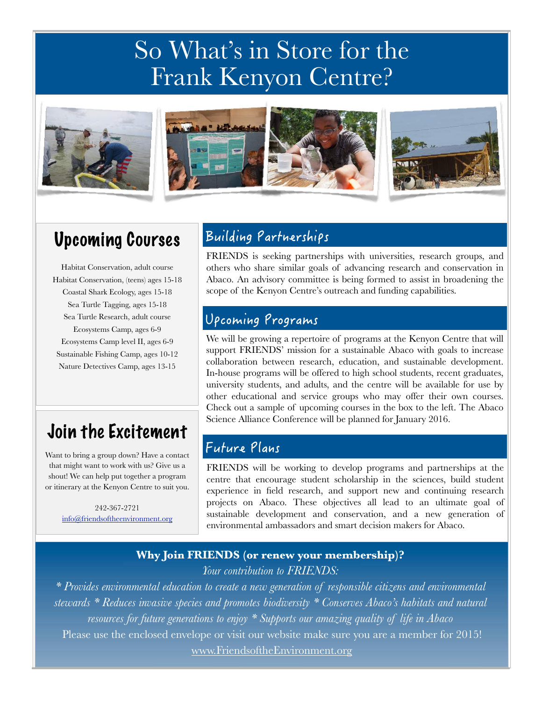# So What's in Store for the Frank Kenyon Centre?





# Upcoming Courses

Habitat Conservation, adult course Habitat Conservation, (teens) ages 15-18 Coastal Shark Ecology, ages 15-18 Sea Turtle Tagging, ages 15-18 Sea Turtle Research, adult course Ecosystems Camp, ages 6-9 Ecosystems Camp level II, ages 6-9 Sustainable Fishing Camp, ages 10-12 Nature Detectives Camp, ages 13-15

## Join the Excitement

Want to bring a group down? Have a contact that might want to work with us? Give us a shout! We can help put together a program or itinerary at the Kenyon Centre to suit you.

> 242-367-2721 [info@friendsoftheenvironment.org](mailto:info@friendsoftheenvironment.org)

### Building Partnerships

FRIENDS is seeking partnerships with universities, research groups, and others who share similar goals of advancing research and conservation in Abaco. An advisory committee is being formed to assist in broadening the scope of the Kenyon Centre's outreach and funding capabilities.

### Upcoming Programs

We will be growing a repertoire of programs at the Kenyon Centre that will support FRIENDS' mission for a sustainable Abaco with goals to increase collaboration between research, education, and sustainable development. In-house programs will be offered to high school students, recent graduates, university students, and adults, and the centre will be available for use by other educational and service groups who may offer their own courses. Check out a sample of upcoming courses in the box to the left. The Abaco Science Alliance Conference will be planned for January 2016.

### Future Plans

FRIENDS will be working to develop programs and partnerships at the centre that encourage student scholarship in the sciences, build student experience in field research, and support new and continuing research projects on Abaco. These objectives all lead to an ultimate goal of sustainable development and conservation, and a new generation of environmental ambassadors and smart decision makers for Abaco.

#### **Why Join FRIENDS (or renew your membership)?** *Your contribution to FRIENDS:*

*\* Provides environmental education to create a new generation of responsible citizens and environmental stewards \* Reduces invasive species and promotes biodiversity \* Conserves Abaco's habitats and natural resources for future generations to enjoy \* Supports our amazing quality of life in Abaco*  Please use the enclosed envelope or visit our website make sure you are a member for 2015! [www.FriendsoftheEnvironment.org](http://www.FriendsoftheEnvironment.o)